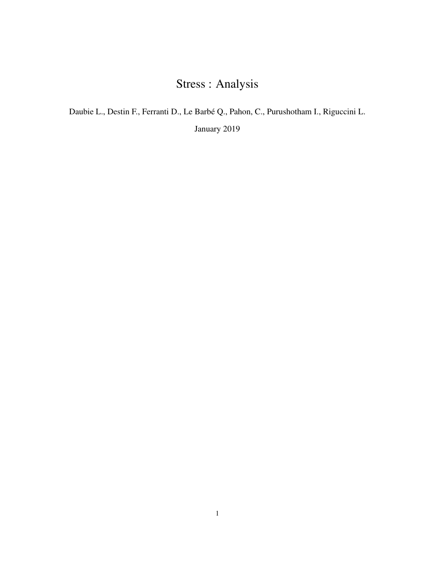# Stress : Analysis

Daubie L., Destin F., Ferranti D., Le Barbé Q., Pahon, C., Purushotham I., Riguccini L.

January 2019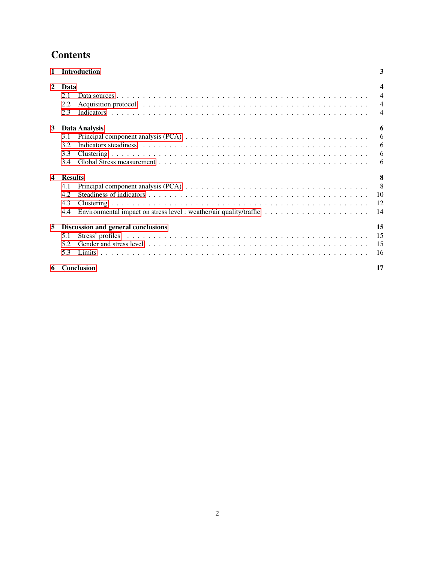## **Contents**

|              | <b>Introduction</b>                                                                                                                    |                | 3                       |
|--------------|----------------------------------------------------------------------------------------------------------------------------------------|----------------|-------------------------|
| $\mathbf{2}$ | Data                                                                                                                                   |                | $\overline{\mathbf{4}}$ |
|              | 2.1                                                                                                                                    |                | $\overline{4}$          |
|              | 2.2                                                                                                                                    |                | $\overline{4}$          |
|              | 2.3                                                                                                                                    |                | $\overline{4}$          |
| 3            | Data Analysis                                                                                                                          |                | 6                       |
|              | Principal component analysis (PCA) $\ldots \ldots \ldots \ldots \ldots \ldots \ldots \ldots \ldots \ldots \ldots \ldots \ldots$<br>3.1 |                | 6                       |
|              | 3.2                                                                                                                                    |                | 6                       |
|              | 3.3                                                                                                                                    |                | 6                       |
|              | 3.4                                                                                                                                    |                | 6                       |
| 4            | <b>Results</b>                                                                                                                         |                | 8                       |
|              | Principal component analysis (PCA) $\ldots \ldots \ldots \ldots \ldots \ldots \ldots \ldots \ldots \ldots \ldots \ldots \ldots$<br>4.1 | 8 <sup>8</sup> |                         |
|              | 4.2                                                                                                                                    |                | 10                      |
|              | 4.3                                                                                                                                    |                | 12                      |
|              | 4.4                                                                                                                                    |                | 14                      |
| 5            | Discussion and general conclusions                                                                                                     |                | 15                      |
|              | 5.1                                                                                                                                    |                | 15                      |
|              | 5.2                                                                                                                                    |                | 15                      |
|              | 5.3                                                                                                                                    |                | 16                      |
| 6            | <b>Conclusion</b>                                                                                                                      |                | 17                      |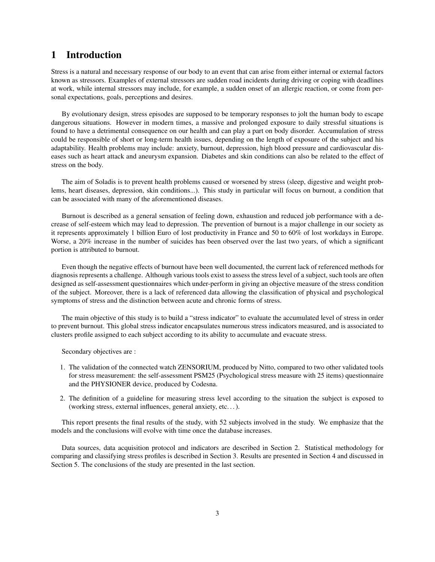## <span id="page-2-0"></span>1 Introduction

Stress is a natural and necessary response of our body to an event that can arise from either internal or external factors known as stressors. Examples of external stressors are sudden road incidents during driving or coping with deadlines at work, while internal stressors may include, for example, a sudden onset of an allergic reaction, or come from personal expectations, goals, perceptions and desires.

By evolutionary design, stress episodes are supposed to be temporary responses to jolt the human body to escape dangerous situations. However in modern times, a massive and prolonged exposure to daily stressful situations is found to have a detrimental consequence on our health and can play a part on body disorder. Accumulation of stress could be responsible of short or long-term health issues, depending on the length of exposure of the subject and his adaptability. Health problems may include: anxiety, burnout, depression, high blood pressure and cardiovascular diseases such as heart attack and aneurysm expansion. Diabetes and skin conditions can also be related to the effect of stress on the body.

The aim of Soladis is to prevent health problems caused or worsened by stress (sleep, digestive and weight problems, heart diseases, depression, skin conditions...). This study in particular will focus on burnout, a condition that can be associated with many of the aforementioned diseases.

Burnout is described as a general sensation of feeling down, exhaustion and reduced job performance with a decrease of self-esteem which may lead to depression. The prevention of burnout is a major challenge in our society as it represents approximately 1 billion Euro of lost productivity in France and 50 to 60% of lost workdays in Europe. Worse, a 20% increase in the number of suicides has been observed over the last two years, of which a significant portion is attributed to burnout.

Even though the negative effects of burnout have been well documented, the current lack of referenced methods for diagnosis represents a challenge. Although various tools exist to assess the stress level of a subject, such tools are often designed as self-assessment questionnaires which under-perform in giving an objective measure of the stress condition of the subject. Moreover, there is a lack of referenced data allowing the classification of physical and psychological symptoms of stress and the distinction between acute and chronic forms of stress.

The main objective of this study is to build a "stress indicator" to evaluate the accumulated level of stress in order to prevent burnout. This global stress indicator encapsulates numerous stress indicators measured, and is associated to clusters profile assigned to each subject according to its ability to accumulate and evacuate stress.

Secondary objectives are :

- 1. The validation of the connected watch ZENSORIUM, produced by Nitto, compared to two other validated tools for stress measurement: the self-assessment PSM25 (Psychological stress measure with 25 items) questionnaire and the PHYSIONER device, produced by Codesna.
- 2. The definition of a guideline for measuring stress level according to the situation the subject is exposed to (working stress, external influences, general anxiety, etc. . . ).

This report presents the final results of the study, with 52 subjects involved in the study. We emphasize that the models and the conclusions will evolve with time once the database increases.

Data sources, data acquisition protocol and indicators are described in Section 2. Statistical methodology for comparing and classifying stress profiles is described in Section 3. Results are presented in Section 4 and discussed in Section 5. The conclusions of the study are presented in the last section.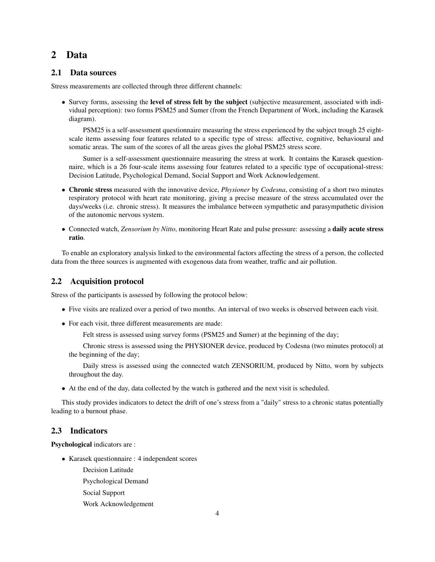## <span id="page-3-0"></span>2 Data

#### <span id="page-3-1"></span>2.1 Data sources

Stress measurements are collected through three different channels:

• Survey forms, assessing the level of stress felt by the subject (subjective measurement, associated with individual perception): two forms PSM25 and Sumer (from the French Department of Work, including the Karasek diagram).

PSM25 is a self-assessment questionnaire measuring the stress experienced by the subject trough 25 eightscale items assessing four features related to a specific type of stress: affective, cognitive, behavioural and somatic areas. The sum of the scores of all the areas gives the global PSM25 stress score.

Sumer is a self-assessment questionnaire measuring the stress at work. It contains the Karasek questionnaire, which is a 26 four-scale items assessing four features related to a specific type of occupational-stress: Decision Latitude, Psychological Demand, Social Support and Work Acknowledgement.

- Chronic stress measured with the innovative device, *Physioner* by *Codesna*, consisting of a short two minutes respiratory protocol with heart rate monitoring, giving a precise measure of the stress accumulated over the days/weeks (i.e. chronic stress). It measures the imbalance between sympathetic and parasympathetic division of the autonomic nervous system.
- Connected watch, *Zensorium by Nitto*, monitoring Heart Rate and pulse pressure: assessing a daily acute stress ratio.

To enable an exploratory analysis linked to the environmental factors affecting the stress of a person, the collected data from the three sources is augmented with exogenous data from weather, traffic and air pollution.

#### <span id="page-3-2"></span>2.2 Acquisition protocol

Stress of the participants is assessed by following the protocol below:

- Five visits are realized over a period of two months. An interval of two weeks is observed between each visit.
- For each visit, three different measurements are made:

Felt stress is assessed using survey forms (PSM25 and Sumer) at the beginning of the day;

Chronic stress is assessed using the PHYSIONER device, produced by Codesna (two minutes protocol) at the beginning of the day;

Daily stress is assessed using the connected watch ZENSORIUM, produced by Nitto, worn by subjects throughout the day.

• At the end of the day, data collected by the watch is gathered and the next visit is scheduled.

This study provides indicators to detect the drift of one's stress from a "daily" stress to a chronic status potentially leading to a burnout phase.

#### <span id="page-3-3"></span>2.3 Indicators

Psychological indicators are :

- Karasek questionnaire : 4 independent scores
	- Decision Latitude
	- Psychological Demand
	- Social Support
	- Work Acknowledgement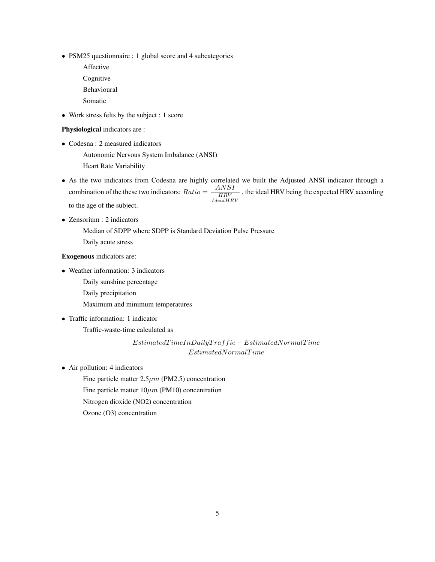- PSM25 questionnaire : 1 global score and 4 subcategories
	- Affective Cognitive Behavioural
	- Somatic
- Work stress felts by the subject : 1 score

#### Physiological indicators are :

- Codesna : 2 measured indicators
	- Autonomic Nervous System Imbalance (ANSI)
	- Heart Rate Variability
- As the two indicators from Codesna are highly correlated we built the Adjusted ANSI indicator through a combination of the these two indicators:  $Ratio = \frac{ANSI}{HRV}$  $\frac{HRV}{IdealHRV}$ , the ideal HRV being the expected HRV according to the age of the subject.
- Zensorium : 2 indicators

Median of SDPP where SDPP is Standard Deviation Pulse Pressure Daily acute stress

#### Exogenous indicators are:

- Weather information: 3 indicators
	- Daily sunshine percentage
	- Daily precipitation
	- Maximum and minimum temperatures
- Traffic information: 1 indicator Traffic-waste-time calculated as

 $\label{prop:optimal} Estimate dTimeInDaily Traffic-Estimated NormalTime$  $EstimatedNormal Time$ 

• Air pollution: 4 indicators

Fine particle matter  $2.5\mu m$  (PM2.5) concentration

Fine particle matter  $10 \mu m$  (PM10) concentration

Nitrogen dioxide (NO2) concentration

Ozone (O3) concentration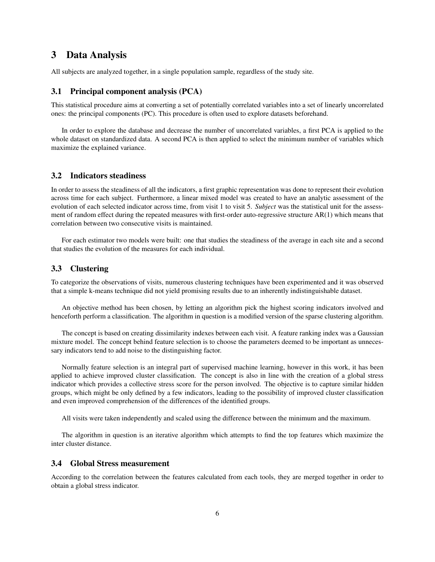## <span id="page-5-0"></span>3 Data Analysis

All subjects are analyzed together, in a single population sample, regardless of the study site.

#### <span id="page-5-1"></span>3.1 Principal component analysis (PCA)

This statistical procedure aims at converting a set of potentially correlated variables into a set of linearly uncorrelated ones: the principal components (PC). This procedure is often used to explore datasets beforehand.

In order to explore the database and decrease the number of uncorrelated variables, a first PCA is applied to the whole dataset on standardized data. A second PCA is then applied to select the minimum number of variables which maximize the explained variance.

#### <span id="page-5-2"></span>3.2 Indicators steadiness

In order to assess the steadiness of all the indicators, a first graphic representation was done to represent their evolution across time for each subject. Furthermore, a linear mixed model was created to have an analytic assessment of the evolution of each selected indicator across time, from visit 1 to visit 5. *Subject* was the statistical unit for the assessment of random effect during the repeated measures with first-order auto-regressive structure AR(1) which means that correlation between two consecutive visits is maintained.

For each estimator two models were built: one that studies the steadiness of the average in each site and a second that studies the evolution of the measures for each individual.

#### <span id="page-5-3"></span>3.3 Clustering

To categorize the observations of visits, numerous clustering techniques have been experimented and it was observed that a simple k-means technique did not yield promising results due to an inherently indistinguishable dataset.

An objective method has been chosen, by letting an algorithm pick the highest scoring indicators involved and henceforth perform a classification. The algorithm in question is a modified version of the sparse clustering algorithm.

The concept is based on creating dissimilarity indexes between each visit. A feature ranking index was a Gaussian mixture model. The concept behind feature selection is to choose the parameters deemed to be important as unnecessary indicators tend to add noise to the distinguishing factor.

Normally feature selection is an integral part of supervised machine learning, however in this work, it has been applied to achieve improved cluster classification. The concept is also in line with the creation of a global stress indicator which provides a collective stress score for the person involved. The objective is to capture similar hidden groups, which might be only defined by a few indicators, leading to the possibility of improved cluster classification and even improved comprehension of the differences of the identified groups.

All visits were taken independently and scaled using the difference between the minimum and the maximum.

The algorithm in question is an iterative algorithm which attempts to find the top features which maximize the inter cluster distance.

#### <span id="page-5-4"></span>3.4 Global Stress measurement

According to the correlation between the features calculated from each tools, they are merged together in order to obtain a global stress indicator.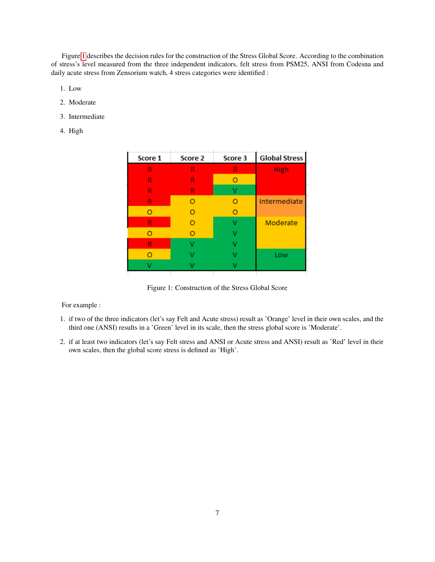Figure [1](#page-6-0) describes the decision rules for the construction of the Stress Global Score. According to the combination of stress's level measured from the three independent indicators, felt stress from PSM25, ANSI from Codesna and daily acute stress from Zensorium watch, 4 stress categories were identified :

- 1. Low
- 2. Moderate
- 3. Intermediate
- 4. High

| Score 1 | Score 2 | Score 3 | <b>Global Stress</b> |
|---------|---------|---------|----------------------|
| R       | R       | R       | <b>High</b>          |
| R       | R       |         |                      |
| R       | R       |         |                      |
| R       | O       |         | Intermediate         |
| о       | O       |         |                      |
| R       | O       |         | Moderate             |
| O       | O       |         |                      |
| R       |         |         |                      |
|         |         |         | Low                  |
|         |         |         |                      |
|         |         |         |                      |

<span id="page-6-0"></span>Figure 1: Construction of the Stress Global Score

#### For example :

- 1. if two of the three indicators (let's say Felt and Acute stress) result as 'Orange' level in their own scales, and the third one (ANSI) results in a 'Green' level in its scale, then the stress global score is 'Moderate'.
- 2. if at least two indicators (let's say Felt stress and ANSI or Acute stress and ANSI) result as 'Red' level in their own scales, then the global score stress is defined as 'High'.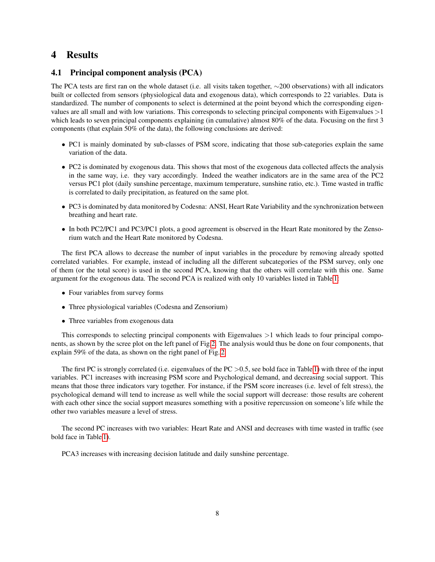## <span id="page-7-0"></span>4 Results

## <span id="page-7-1"></span>4.1 Principal component analysis (PCA)

The PCA tests are first ran on the whole dataset (i.e. all visits taken together, ∼200 observations) with all indicators built or collected from sensors (physiological data and exogenous data), which corresponds to 22 variables. Data is standardized. The number of components to select is determined at the point beyond which the corresponding eigenvalues are all small and with low variations. This corresponds to selecting principal components with Eigenvalues >1 which leads to seven principal components explaining (in cumulative) almost 80% of the data. Focusing on the first 3 components (that explain 50% of the data), the following conclusions are derived:

- PC1 is mainly dominated by sub-classes of PSM score, indicating that those sub-categories explain the same variation of the data.
- PC2 is dominated by exogenous data. This shows that most of the exogenous data collected affects the analysis in the same way, i.e. they vary accordingly. Indeed the weather indicators are in the same area of the PC2 versus PC1 plot (daily sunshine percentage, maximum temperature, sunshine ratio, etc.). Time wasted in traffic is correlated to daily precipitation, as featured on the same plot.
- PC3 is dominated by data monitored by Codesna: ANSI, Heart Rate Variability and the synchronization between breathing and heart rate.
- In both PC2/PC1 and PC3/PC1 plots, a good agreement is observed in the Heart Rate monitored by the Zensorium watch and the Heart Rate monitored by Codesna.

The first PCA allows to decrease the number of input variables in the procedure by removing already spotted correlated variables. For example, instead of including all the different subcategories of the PSM survey, only one of them (or the total score) is used in the second PCA, knowing that the others will correlate with this one. Same argument for the exogenous data. The second PCA is realized with only 10 variables listed in Table [1:](#page-8-0)

- Four variables from survey forms
- Three physiological variables (Codesna and Zensorium)
- Three variables from exogenous data

This corresponds to selecting principal components with Eigenvalues >1 which leads to four principal components, as shown by the scree plot on the left panel of Fig[.2.](#page-8-1) The analysis would thus be done on four components, that explain 59% of the data, as shown on the right panel of Fig. [2.](#page-8-1)

The first PC is strongly correlated (i.e. eigenvalues of the  $PC > 0.5$ , see bold face in Table [1\)](#page-8-0) with three of the input variables. PC1 increases with increasing PSM score and Psychological demand, and decreasing social support. This means that those three indicators vary together. For instance, if the PSM score increases (i.e. level of felt stress), the psychological demand will tend to increase as well while the social support will decrease: those results are coherent with each other since the social support measures something with a positive repercussion on someone's life while the other two variables measure a level of stress.

The second PC increases with two variables: Heart Rate and ANSI and decreases with time wasted in traffic (see bold face in Table [1\)](#page-8-0).

PCA3 increases with increasing decision latitude and daily sunshine percentage.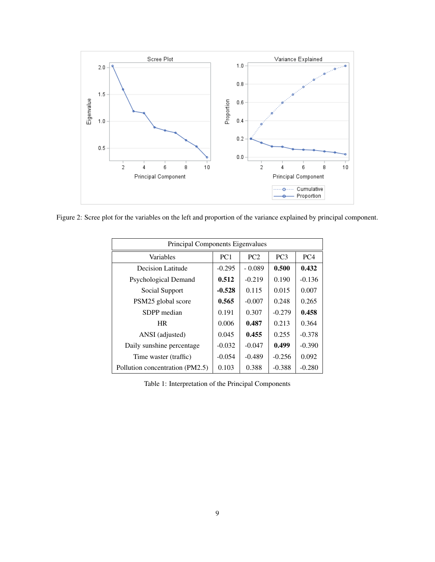

<span id="page-8-1"></span>Figure 2: Scree plot for the variables on the left and proportion of the variance explained by principal component.

| Principal Components Eigenvalues |                 |          |                 |                 |  |  |  |  |  |
|----------------------------------|-----------------|----------|-----------------|-----------------|--|--|--|--|--|
| Variables                        | PC <sub>1</sub> | PC2      | PC <sub>3</sub> | PC <sub>4</sub> |  |  |  |  |  |
| Decision Latitude                | $-0.295$        | $-0.089$ | 0.500           | 0.432           |  |  |  |  |  |
| Psychological Demand             | 0.512           | $-0.219$ | 0.190           | $-0.136$        |  |  |  |  |  |
| Social Support                   | $-0.528$        | 0.115    | 0.015           | 0.007           |  |  |  |  |  |
| PSM25 global score               | 0.565           | $-0.007$ | 0.248           | 0.265           |  |  |  |  |  |
| SDPP median                      | 0.191           | 0.307    | $-0.279$        | 0.458           |  |  |  |  |  |
| <b>HR</b>                        | 0.006           | 0.487    | 0.213           | 0.364           |  |  |  |  |  |
| ANSI (adjusted)                  | 0.045           | 0.455    | 0.255           | $-0.378$        |  |  |  |  |  |
| Daily sunshine percentage        | $-0.032$        | $-0.047$ | 0.499           | $-0.390$        |  |  |  |  |  |
| Time waster (traffic)            | $-0.054$        | $-0.489$ | $-0.256$        | 0.092           |  |  |  |  |  |
| Pollution concentration (PM2.5)  | 0.103           | 0.388    | $-0.388$        | $-0.280$        |  |  |  |  |  |

<span id="page-8-0"></span>Table 1: Interpretation of the Principal Components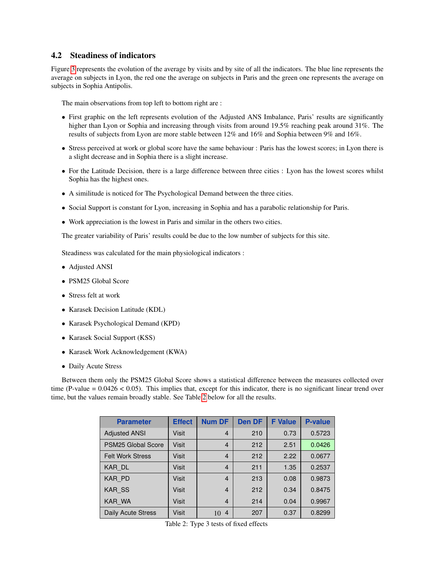#### <span id="page-9-0"></span>4.2 Steadiness of indicators

Figure [3](#page-10-0) represents the evolution of the average by visits and by site of all the indicators. The blue line represents the average on subjects in Lyon, the red one the average on subjects in Paris and the green one represents the average on subjects in Sophia Antipolis.

The main observations from top left to bottom right are :

- First graphic on the left represents evolution of the Adjusted ANS Imbalance, Paris' results are significantly higher than Lyon or Sophia and increasing through visits from around 19.5% reaching peak around 31%. The results of subjects from Lyon are more stable between 12% and 16% and Sophia between 9% and 16%.
- Stress perceived at work or global score have the same behaviour : Paris has the lowest scores; in Lyon there is a slight decrease and in Sophia there is a slight increase.
- For the Latitude Decision, there is a large difference between three cities : Lyon has the lowest scores whilst Sophia has the highest ones.
- A similitude is noticed for The Psychological Demand between the three cities.
- Social Support is constant for Lyon, increasing in Sophia and has a parabolic relationship for Paris.
- Work appreciation is the lowest in Paris and similar in the others two cities.

The greater variability of Paris' results could be due to the low number of subjects for this site.

Steadiness was calculated for the main physiological indicators :

- Adjusted ANSI
- PSM25 Global Score
- Stress felt at work
- Karasek Decision Latitude (KDL)
- Karasek Psychological Demand (KPD)
- Karasek Social Support (KSS)
- Karasek Work Acknowledgement (KWA)
- Daily Acute Stress

<span id="page-9-1"></span>Between them only the PSM25 Global Score shows a statistical difference between the measures collected over time (P-value  $= 0.0426 < 0.05$ ). This implies that, except for this indicator, there is no significant linear trend over time, but the values remain broadly stable. See Table [2](#page-9-1) below for all the results.

| <b>Parameter</b>        | <b>Effect</b> | <b>Num DF</b>        | <b>Den DF</b> | <b>F</b> Value | <b>P-value</b> |
|-------------------------|---------------|----------------------|---------------|----------------|----------------|
| <b>Adjusted ANSI</b>    | Visit         | $\overline{4}$       | 210           | 0.73           | 0.5723         |
| PSM25 Global Score      | Visit         | $\overline{4}$       | 212           | 2.51           | 0.0426         |
| <b>Felt Work Stress</b> | Visit         | $\overline{4}$       | 212           | 2.22           | 0.0677         |
| KAR DL                  | Visit         | $\overline{4}$       | 211           | 1.35           | 0.2537         |
| KAR PD                  | Visit         | $\overline{4}$       | 213           | 0.08           | 0.9873         |
| <b>KAR SS</b>           | <b>Visit</b>  | $\overline{4}$       | 212           | 0.34           | 0.8475         |
| KAR WA                  | <b>Visit</b>  | $\overline{4}$       | 214           | 0.04           | 0.9967         |
| Daily Acute Stress      | <b>Visit</b>  | $\overline{4}$<br>10 | 207           | 0.37           | 0.8299         |

Table 2: Type 3 tests of fixed effects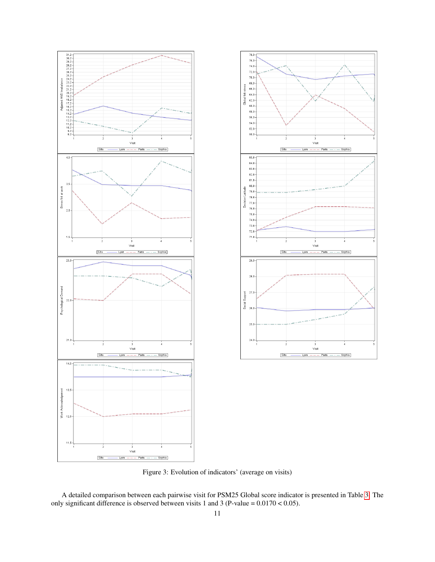



<span id="page-10-0"></span>Figure 3: Evolution of indicators' (average on visits)

A detailed comparison between each pairwise visit for PSM25 Global score indicator is presented in Table [3.](#page-11-1) The only significant difference is observed between visits 1 and 3 (P-value =  $0.0170 < 0.05$ ).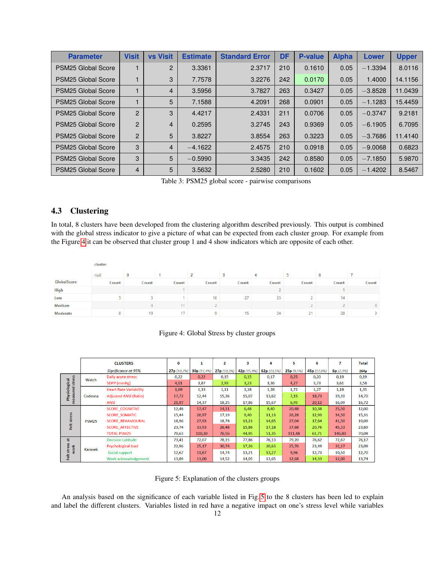<span id="page-11-1"></span>

| <b>Parameter</b>          | <b>Visit</b>   | <b>vs Visit</b> | <b>Estimate</b> | <b>Standard Error</b> | <b>DF</b> | <b>P-value</b> | <b>Alpha</b> | <b>Lower</b> | <b>Upper</b> |
|---------------------------|----------------|-----------------|-----------------|-----------------------|-----------|----------------|--------------|--------------|--------------|
| PSM25 Global Score        |                | $\overline{2}$  | 3.3361          | 2.3717                | 210       | 0.1610         | 0.05         | $-1.3394$    | 8.0116       |
| PSM25 Global Score        |                | 3               | 7.7578          | 3.2276                | 242       | 0.0170         | 0.05         | 1.4000       | 14.1156      |
| PSM25 Global Score        |                | $\overline{4}$  | 3.5956          | 3.7827                | 263       | 0.3427         | 0.05         | $-3.8528$    | 11.0439      |
| PSM25 Global Score        |                | 5               | 7.1588          | 4.2091                | 268       | 0.0901         | 0.05         | $-1.1283$    | 15.4459      |
| PSM25 Global Score        | $\overline{2}$ | 3               | 4.4217          | 2.4331                | 211       | 0.0706         | 0.05         | $-0.3747$    | 9.2181       |
| <b>PSM25 Global Score</b> | $\overline{2}$ | $\overline{4}$  | 0.2595          | 3.2745                | 243       | 0.9369         | 0.05         | $-6.1905$    | 6.7095       |
| PSM25 Global Score        | $\overline{2}$ | 5               | 3.8227          | 3.8554                | 263       | 0.3223         | 0.05         | $-3.7686$    | 11.4140      |
| PSM25 Global Score        | 3              | $\overline{4}$  | $-4.1622$       | 2.4575                | 210       | 0.0918         | 0.05         | $-9.0068$    | 0.6823       |
| PSM25 Global Score        | 3              | 5               | $-0.5990$       | 3.3435                | 242       | 0.8580         | 0.05         | $-7.1850$    | 5.9870       |
| PSM25 Global Score        | $\overline{4}$ | 5               | 3.5632          | 2.5280                | 210       | 0.1602         | 0.05         | $-1.4202$    | 8.5467       |

Table 3: PSM25 global score - pairwise comparisons

## <span id="page-11-0"></span>4.3 Clustering

In total, 8 clusters have been developed from the clustering algorithm described previously. This output is combined with the global stress indicator to give a picture of what can be expected from each cluster group. For example from the Figure [4](#page-11-2) it can be observed that cluster group 1 and 4 show indicators which are opposite of each other.

|                 | cluster |          |       |       |       |       |       |       |       |  |
|-----------------|---------|----------|-------|-------|-------|-------|-------|-------|-------|--|
|                 | null    | $\bf{0}$ |       |       |       | 4     |       | b     |       |  |
| GlobalScore     | Count   | Count    | Count | Count | Count | Count | Count | Count | Count |  |
| <b>High</b>     |         |          |       |       |       |       |       |       |       |  |
| Low             |         |          |       | 16    | 27    | 35    |       | 14    |       |  |
| <b>Medium</b>   |         |          |       |       |       |       |       |       | 3.    |  |
| <b>Moderate</b> | 8       | 19       | 17    | 9     | 15    | 24    | 21    | 28    |       |  |

#### <span id="page-11-2"></span>Figure 4: Global Stress by cluster groups

|                           |              | <b>CLUSTERS</b>               | 0           | 1           | $\overline{2}$ | з           | 4           | 5         | 6           |          | Total |
|---------------------------|--------------|-------------------------------|-------------|-------------|----------------|-------------|-------------|-----------|-------------|----------|-------|
|                           |              | Significance at 95%           | 27p (10,2%) | 30p (11,4%) | 27p (10,2%)    | 42p (15,9%) | 62p (23,5%) | 25p(9,5%) | 45p (17,0%) | 6p(2,3%) | 264p  |
|                           | Watch        | Daily acute stress            | 0,22        | 0,22        | 0,15           | 0,15        | 0,17        | 0,25      | 0,20        | 0,19     | 0,19  |
| stress                    |              | SDPP (mmHg)                   | 4,01        | 3,87        | 2,93           | 3,23        | 3,36        | 4,27      | 3,73        | 3,61     | 3,58  |
|                           |              | <b>Heart Rate Variability</b> | 1,69        | 1,33        | 1,11           | 1,18        | 1,39        | 1,72      | 1,27        | 1,18     | 1,35  |
| Physiological<br>measured | Codesna      | <b>Adjusted ANSI (Ratio)</b>  | 17,73       | 12,44       | 15,36          | 15,07       | 13,62       | 7,15      | 18,73       | 19,10    | 14,70 |
|                           |              | <b>ANSI</b>                   | 21,97       | 14,37       | 18,25          | 17,86       | 15,67       | 6,95      | 20,12       | 16,09    | 16,72 |
|                           |              | <b>SCORE COGNITIVE</b>        | 12,48       | 17,47       | 14,11          | 6,48        | 8,40        | 20,48     | 10,38       | 25,50    | 12,00 |
| stress                    | <b>PSM25</b> | <b>SCORE SOMATIC</b>          | 15,44       | 20,97       | 17,19          | 9,40        | 11,13       | 26,28     | 12,93       | 34,50    | 15,31 |
|                           |              | <b>SCORE BEHAVIOURAL</b>      | 18,96       | 27,93       | 18,78          | 13,21       | 14,65       | 27,04     | 17,64       | 41,50    | 19,09 |
| Felt                      |              | <b>SCORE AFFECTIVE</b>        | 23,74       | 33,93       | 26,48          | 15,86       | 17,18       | 37,68     | 20,76       | 45,33    | 23,69 |
|                           |              | <b>TOTAL PSM25</b>            | 70,63       | 100,30      | 76,56          | 44,95       | 51,35       | 111,48    | 61,71       | 146,83   | 70,08 |
| 喆                         |              | <b>Decision Latitude</b>      | 73,41       | 72,07       | 78,15          | 77,86       | 76,13       | 79,20     | 76,62       | 72,67    | 76,17 |
| stress<br>work            | Karasek      | Psychological load            | 22,96       | 25,17       | 30,74          | 17,26       | 20,63       | 25,76     | 23,49       | 31,17    | 23,09 |
|                           |              | Social support                | 12,67       | 11,67       | 14,74          | 13,21       | 13,27       | 9,96      | 12,73       | 10,50    | 12,70 |
| Feit                      |              | Work acknowledgement          | 13,89       | 13,00       | 14,52          | 14,05       | 13,65       | 12,68     | 14,33       | 12,00    | 13,74 |

<span id="page-11-3"></span>Figure 5: Explanation of the clusters groups

An analysis based on the significance of each variable listed in Fig. [5](#page-11-3) to the 8 clusters has been led to explain and label the different clusters. Variables listed in red have a negative impact on one's stress level while variables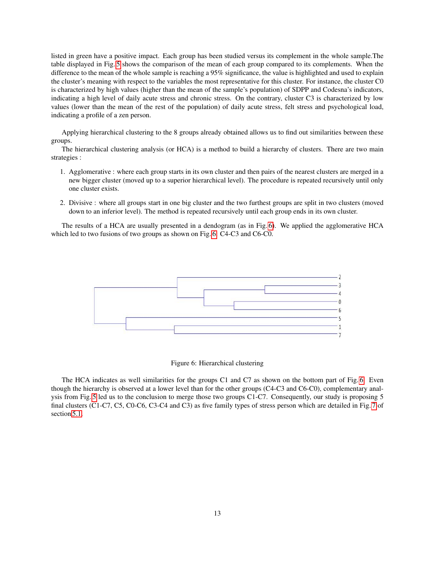listed in green have a positive impact. Each group has been studied versus its complement in the whole sample.The table displayed in Fig. [5](#page-11-3) shows the comparison of the mean of each group compared to its complements. When the difference to the mean of the whole sample is reaching a 95% significance, the value is highlighted and used to explain the cluster's meaning with respect to the variables the most representative for this cluster. For instance, the cluster C0 is characterized by high values (higher than the mean of the sample's population) of SDPP and Codesna's indicators, indicating a high level of daily acute stress and chronic stress. On the contrary, cluster C3 is characterized by low values (lower than the mean of the rest of the population) of daily acute stress, felt stress and psychological load, indicating a profile of a zen person.

Applying hierarchical clustering to the 8 groups already obtained allows us to find out similarities between these groups.

The hierarchical clustering analysis (or HCA) is a method to build a hierarchy of clusters. There are two main strategies :

- 1. Agglomerative : where each group starts in its own cluster and then pairs of the nearest clusters are merged in a new bigger cluster (moved up to a superior hierarchical level). The procedure is repeated recursively until only one cluster exists.
- 2. Divisive : where all groups start in one big cluster and the two furthest groups are split in two clusters (moved down to an inferior level). The method is repeated recursively until each group ends in its own cluster.

The results of a HCA are usually presented in a dendogram (as in Fig. [6\)](#page-12-0). We applied the agglomerative HCA which led to two fusions of two groups as shown on Fig. [6:](#page-12-0) C4-C3 and C6-C0.



<span id="page-12-0"></span>Figure 6: Hierarchical clustering

The HCA indicates as well similarities for the groups C1 and C7 as shown on the bottom part of Fig. [6.](#page-12-0) Even though the hierarchy is observed at a lower level than for the other groups (C4-C3 and C6-C0), complementary analysis from Fig. [5](#page-11-3) led us to the conclusion to merge those two groups C1-C7. Consequently, our study is proposing 5 final clusters (C1-C7, C5, C0-C6, C3-C4 and C3) as five family types of stress person which are detailed in Fig. [7](#page-14-3) of section [5.1.](#page-14-1)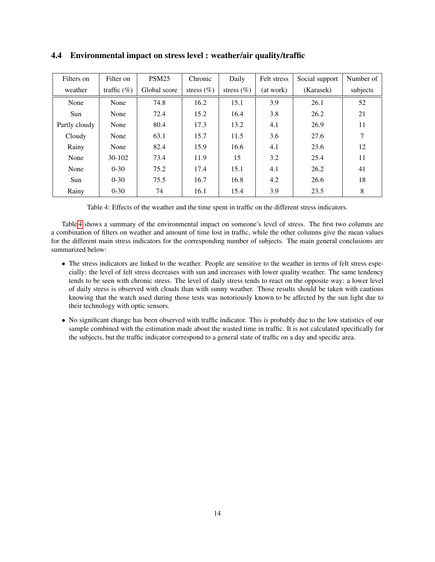| Filters on    | Filter on       | <b>PSM25</b> | Chronic        | Daily          | Felt stress | Social support | Number of |
|---------------|-----------------|--------------|----------------|----------------|-------------|----------------|-----------|
| weather       | traffic $(\% )$ | Global score | stress $(\% )$ | stress $(\% )$ | (at work)   | (Karasek)      | subjects  |
| None          | None            | 74.8         | 16.2           | 15.1           | 3.9         | 26.1           | 52        |
| Sun           | None            | 72.4         | 15.2           | 16.4           | 3.8         | 26.2           | 21        |
| Partly cloudy | None            | 80.4         | 17.3           | 13.2           | 4.1         | 26.9           | 11        |
| Cloudy        | None            | 63.1         | 15.7           | 11.5           | 3.6         | 27.6           | 7         |
| Rainy         | None            | 82.4         | 15.9           | 16.6           | 4.1         | 23.6           | 12        |
| None          | $30-102$        | 73.4         | 11.9           | 15             | 3.2         | 25.4           | 11        |
| None          | $0 - 30$        | 75.2         | 17.4           | 15.1           | 4.1         | 26.2           | 41        |
| Sun           | $0 - 30$        | 75.5         | 16.7           | 16.8           | 4.2         | 26.6           | 18        |
| Rainy         | $0 - 30$        | 74           | 16.1           | 15.4           | 3.9         | 23.5           | 8         |

#### <span id="page-13-0"></span>4.4 Environmental impact on stress level : weather/air quality/traffic

<span id="page-13-1"></span>Table 4: Effects of the weather and the time spent in traffic on the different stress indicators.

Table [4](#page-13-1) shows a summary of the environmental impact on someone's level of stress. The first two columns are a combination of filters on weather and amount of time lost in traffic, while the other columns give the mean values for the different main stress indicators for the corresponding number of subjects. The main general conclusions are summarized below:

- The stress indicators are linked to the weather. People are sensitive to the weather in terms of felt stress especially: the level of felt stress decreases with sun and increases with lower quality weather. The same tendency tends to be seen with chronic stress. The level of daily stress tends to react on the opposite way: a lower level of daily stress is observed with clouds than with sunny weather. Those results should be taken with cautious knowing that the watch used during those tests was notoriously known to be affected by the sun light due to their technology with optic sensors.
- No significant change has been observed with traffic indicator. This is probably due to the low statistics of our sample combined with the estimation made about the wasted time in traffic. It is not calculated specifically for the subjects, but the traffic indicator correspond to a general state of traffic on a day and specific area.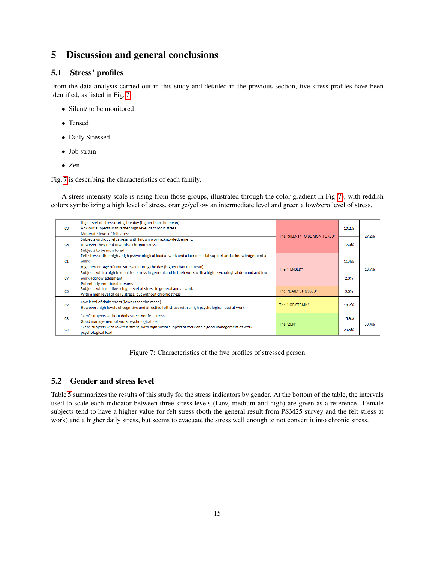## <span id="page-14-0"></span>5 Discussion and general conclusions

## <span id="page-14-1"></span>5.1 Stress' profiles

From the data analysis carried out in this study and detailed in the previous section, five stress profiles have been identified, as listed in Fig. [7:](#page-14-3)

- Silent/ to be monitored
- Tensed
- Daily Stressed
- Job strain
- Zen

Fig. [7](#page-14-3) is describing the characteristics of each family.

A stress intensity scale is rising from those groups, illustrated through the color gradient in Fig. [7\)](#page-14-3), with reddish colors symbolizing a high level of stress, orange/yellow an intermediate level and green a low/zero level of stress.

| C <sub>0</sub> | High level of stress during the day (higher than the mean)<br>Anxious subjects with rather high level of chronic stress<br>Moderate level of felt stress                                         | The "SILENT/TO BE MONITORED" | 10,2% | 27,2% |
|----------------|--------------------------------------------------------------------------------------------------------------------------------------------------------------------------------------------------|------------------------------|-------|-------|
| C6             | Subjects without felt stress, with known work acknowledgement.<br>However they tend towards a chronic stress.<br>Subjects to be monitored                                                        |                              | 17,0% |       |
| C1             | Felt stress rather high / high pshychological load at work and a lack of social support and acknowledgement at<br>work<br>High percentage of time stressed during the day (higher than the mean) | The "TENSED"                 | 11,4% | 13,7% |
| C <sub>7</sub> | Subjects with a high level of felt stress in general and in their work with a high psychological demand and low<br>work acknowledgement<br>Potentially emotional persons                         |                              | 2,3%  |       |
| C <sub>5</sub> | Subjects with relatively high level of stress in general and at work<br>With a high level of daily stress, but without chronic stress                                                            | The "DAILY STRESSED"         | 9,5%  |       |
| C2             | Low level of daily stress (lower than the mean)<br>However, high levels of cognitive and affective felt stress with a high psychological load at work                                            | The "IOB STRAIN"             | 10,2% |       |
| C <sub>3</sub> | "Zen" subjects without daily stress nor felt stress.<br>Good management of work psychological load                                                                                               |                              | 15,9% |       |
| C <sub>4</sub> | "Zen" subjects with low felt stress, with high social support at work and a good management of work<br>psychological load                                                                        | The "ZEN"                    | 23,5% | 39,4% |

<span id="page-14-3"></span>Figure 7: Characteristics of the five profiles of stressed person

#### <span id="page-14-2"></span>5.2 Gender and stress level

Table [5](#page-15-1) summarizes the results of this study for the stress indicators by gender. At the bottom of the table, the intervals used to scale each indicator between three stress levels (Low, medium and high) are given as a reference. Female subjects tend to have a higher value for felt stress (both the general result from PSM25 survey and the felt stress at work) and a higher daily stress, but seems to evacuate the stress well enough to not convert it into chronic stress.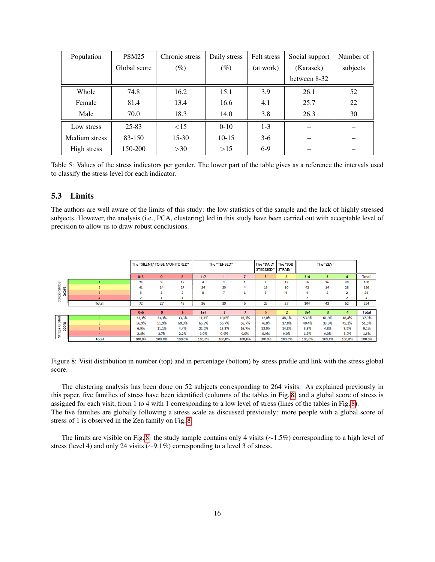| Population    | PSM <sub>25</sub> | Chronic stress | Daily stress | Felt stress | Social support | Number of |
|---------------|-------------------|----------------|--------------|-------------|----------------|-----------|
|               | Global score      | $(\%)$         | $(\%)$       | (at work)   | (Karasek)      | subjects  |
|               |                   |                |              |             | between 8-32   |           |
| Whole         | 74.8              | 16.2           | 15.1         | 3.9         | 26.1           | 52        |
| Female        | 81.4              | 13.4           | 16.6         | 4.1         | 25.7           | 22        |
| Male          | 70.0              | 18.3           | 14.0         | 3.8         | 26.3           | 30        |
| Low stress    | $25 - 83$         | $\leq$ 15      | $0 - 10$     | $1 - 3$     |                |           |
| Medium stress | 83-150            | $15-30$        | $10-15$      | $3-6$       |                |           |
| High stress   | 150-200           | >30            | >15          | $6-9$       |                |           |

<span id="page-15-1"></span>Table 5: Values of the stress indicators per gender. The lower part of the table gives as a reference the intervals used to classify the stress level for each indicator.

#### <span id="page-15-0"></span>5.3 Limits

The authors are well aware of the limits of this study: the low statistics of the sample and the lack of highly stressed subjects. However, the analysis (i.e., PCA, clustering) led in this study have been carried out with acceptable level of precision to allow us to draw robust conclusions.

|                      |                |        | The "SILENT/ TO BE MONITORED" |        |        | The "TENSED" |        | The "DAILY    The "JOB<br>STRESSED" | STRAIN"        |                | The "ZEN" |             |              |
|----------------------|----------------|--------|-------------------------------|--------|--------|--------------|--------|-------------------------------------|----------------|----------------|-----------|-------------|--------------|
|                      |                | $0+6$  | $\bf{0}$                      | 6      | $1+7$  |              |        | 5                                   | $\overline{2}$ | $3+4$          |           | 4           | <b>Total</b> |
|                      |                | 24     | 9                             | 15     | 4      |              |        |                                     | 13             | 56             | 26        | 30          | 100          |
| Global               |                | 41     | 14                            | 27     | 24     | 20           |        | 19                                  | 10             | 42             | 14        | 28          | 136          |
| Stress Glol<br>Score |                |        | 3                             |        | 8      |              |        |                                     | 4              | $\overline{a}$ | $\sim$    | $\sim$<br>∠ | 24           |
|                      | 4              |        |                               |        |        |              |        |                                     |                |                |           |             | 4            |
|                      | <b>Total</b>   | 72     | 27                            | 45     | 36     | 30           | 6      | 25                                  | 27             | 104            | 42        | 62          | 264          |
|                      |                |        |                               |        |        |              |        |                                     |                |                |           |             |              |
|                      |                | $0+6$  | $\mathbf{0}$                  | 6      | $1+7$  |              |        |                                     | $\overline{2}$ | $3 + 4$        |           | 4           | <b>Total</b> |
| Global               |                | 33,3%  | 33,3%                         | 33,3%  | 11,1%  | 10,0%        | 16,7%  | 12,0%                               | 48,1%          | 53,8%          | 61,9%     | 48,4%       | 37,9%        |
|                      | $\overline{2}$ | 56,9%  | 51,9%                         | 60,0%  | 66,7%  | 66,7%        | 66,7%  | 76,0%                               | 37,0%          | 40,4%          | 33,3%     | 45,2%       | 51,5%        |
|                      | $\overline{3}$ | 6,9%   | 11,1%                         | 4,4%   | 22,2%  | 23,3%        | 16,7%  | 12,0%                               | 14,8%          | 3,8%           | 4,8%      | 3,2%        | 9,1%         |
| Stress Glo<br>Score  | 4              | 2,8%   | 3,7%                          | 2,2%   | 0,0%   | 0,0%         | 0,0%   | 0.0%                                | 0,0%           | 1,9%           | 0,0%      | 3,2%        | 1,5%         |
|                      | Total          | 100.0% | 100.0%                        | 100.0% | 100.0% | 100.0%       | 100.0% | 100.0%                              | 100.0%         | 100.0%         | 100.0%    | 100.0%      | 100.0%       |

<span id="page-15-2"></span>Figure 8: Visit distribution in number (top) and in percentage (bottom) by stress profile and link with the stress global score.

The clustering analysis has been done on 52 subjects corresponding to 264 visits. As explained previously in this paper, five families of stress have been identified (columns of the tables in Fig. [8\)](#page-15-2) and a global score of stress is assigned for each visit, from 1 to 4 with 1 corresponding to a low level of stress (lines of the tables in Fig. [8\)](#page-15-2). The five families are globally following a stress scale as discussed previously: more people with a global score of stress of 1 is observed in the Zen family on Fig. [8.](#page-15-2)

The limits are visible on Fig. [8:](#page-15-2) the study sample contains only 4 visits (∼1.5%) corresponding to a high level of stress (level 4) and only 24 visits (∼9.1%) corresponding to a level 3 of stress.